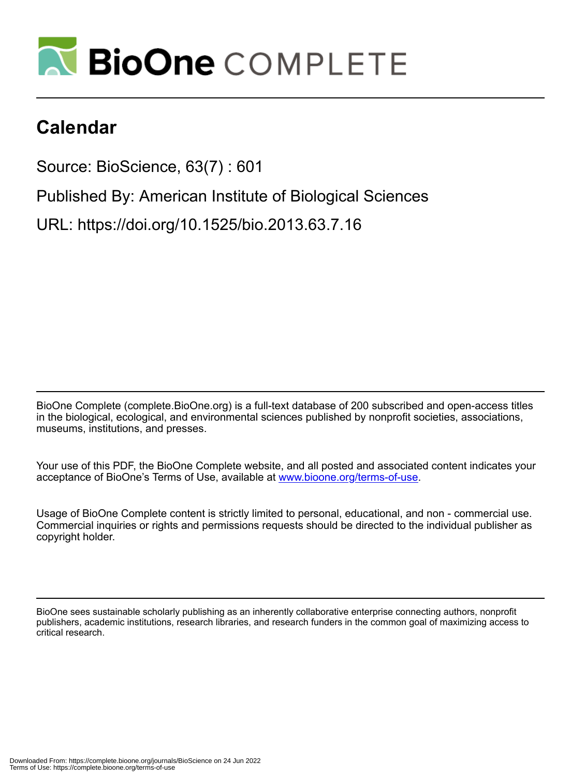

# **Calendar**

Source: BioScience, 63(7) : 601

Published By: American Institute of Biological Sciences

URL: https://doi.org/10.1525/bio.2013.63.7.16

BioOne Complete (complete.BioOne.org) is a full-text database of 200 subscribed and open-access titles in the biological, ecological, and environmental sciences published by nonprofit societies, associations, museums, institutions, and presses.

Your use of this PDF, the BioOne Complete website, and all posted and associated content indicates your acceptance of BioOne's Terms of Use, available at www.bioone.org/terms-of-use.

Usage of BioOne Complete content is strictly limited to personal, educational, and non - commercial use. Commercial inquiries or rights and permissions requests should be directed to the individual publisher as copyright holder.

BioOne sees sustainable scholarly publishing as an inherently collaborative enterprise connecting authors, nonprofit publishers, academic institutions, research libraries, and research funders in the common goal of maximizing access to critical research.